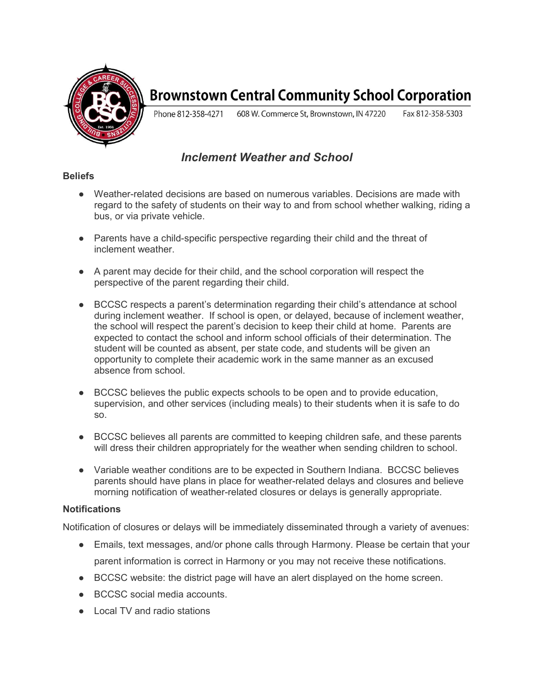

# **Brownstown Central Community School Corporation**

Phone 812-358-4271 608 W. Commerce St, Brownstown, IN 47220 Fax 812-358-5303

# Inclement Weather and School

### **Beliefs**

- Weather-related decisions are based on numerous variables. Decisions are made with regard to the safety of students on their way to and from school whether walking, riding a bus, or via private vehicle.
- Parents have a child-specific perspective regarding their child and the threat of inclement weather.
- A parent may decide for their child, and the school corporation will respect the perspective of the parent regarding their child.
- BCCSC respects a parent's determination regarding their child's attendance at school during inclement weather. If school is open, or delayed, because of inclement weather, the school will respect the parent's decision to keep their child at home. Parents are expected to contact the school and inform school officials of their determination. The student will be counted as absent, per state code, and students will be given an opportunity to complete their academic work in the same manner as an excused absence from school.
- BCCSC believes the public expects schools to be open and to provide education, supervision, and other services (including meals) to their students when it is safe to do so.
- BCCSC believes all parents are committed to keeping children safe, and these parents will dress their children appropriately for the weather when sending children to school.
- Variable weather conditions are to be expected in Southern Indiana. BCCSC believes parents should have plans in place for weather-related delays and closures and believe morning notification of weather-related closures or delays is generally appropriate.

#### **Notifications**

Notification of closures or delays will be immediately disseminated through a variety of avenues:

- Emails, text messages, and/or phone calls through Harmony. Please be certain that your parent information is correct in Harmony or you may not receive these notifications.
- BCCSC website: the district page will have an alert displayed on the home screen.
- BCCSC social media accounts.
- Local TV and radio stations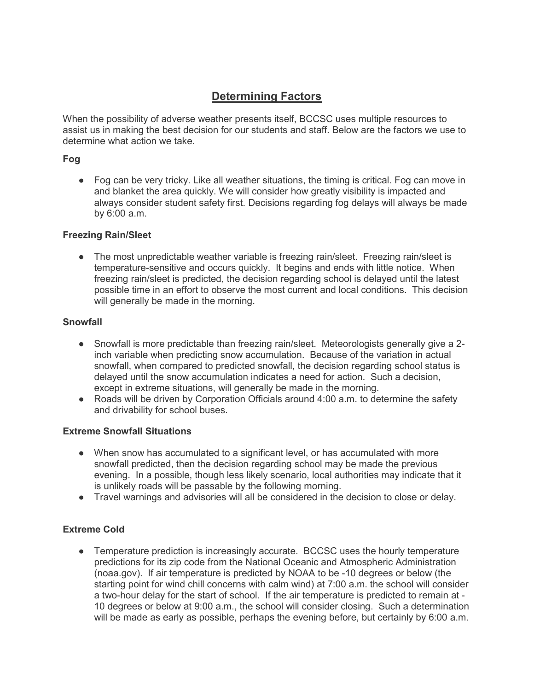# Determining Factors

When the possibility of adverse weather presents itself, BCCSC uses multiple resources to assist us in making the best decision for our students and staff. Below are the factors we use to determine what action we take.

### Fog

● Fog can be very tricky. Like all weather situations, the timing is critical. Fog can move in and blanket the area quickly. We will consider how greatly visibility is impacted and always consider student safety first. Decisions regarding fog delays will always be made by 6:00 a.m.

### Freezing Rain/Sleet

• The most unpredictable weather variable is freezing rain/sleet. Freezing rain/sleet is temperature-sensitive and occurs quickly. It begins and ends with little notice. When freezing rain/sleet is predicted, the decision regarding school is delayed until the latest possible time in an effort to observe the most current and local conditions. This decision will generally be made in the morning.

### Snowfall

- Snowfall is more predictable than freezing rain/sleet. Meteorologists generally give a 2inch variable when predicting snow accumulation. Because of the variation in actual snowfall, when compared to predicted snowfall, the decision regarding school status is delayed until the snow accumulation indicates a need for action. Such a decision, except in extreme situations, will generally be made in the morning.
- Roads will be driven by Corporation Officials around 4:00 a.m. to determine the safety and drivability for school buses.

#### Extreme Snowfall Situations

- When snow has accumulated to a significant level, or has accumulated with more snowfall predicted, then the decision regarding school may be made the previous evening. In a possible, though less likely scenario, local authorities may indicate that it is unlikely roads will be passable by the following morning.
- Travel warnings and advisories will all be considered in the decision to close or delay.

## Extreme Cold

• Temperature prediction is increasingly accurate. BCCSC uses the hourly temperature predictions for its zip code from the National Oceanic and Atmospheric Administration (noaa.gov). If air temperature is predicted by NOAA to be -10 degrees or below (the starting point for wind chill concerns with calm wind) at 7:00 a.m. the school will consider a two-hour delay for the start of school. If the air temperature is predicted to remain at - 10 degrees or below at 9:00 a.m., the school will consider closing. Such a determination will be made as early as possible, perhaps the evening before, but certainly by 6:00 a.m.